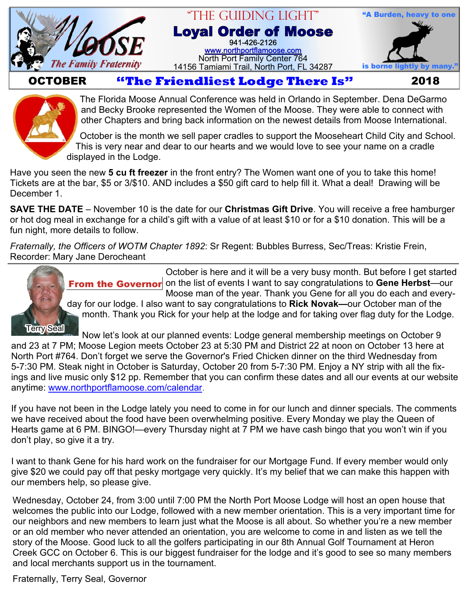

### "The Guiding Light" **Loyal Order of Moose** 941-426-2126 [www.northportflamoose.com](http://www.northportflamoose.com) North Port Family Center 764 14156 Tamiami Trail, North Port, FL 34287 is borne li



## **OCTOBER Extendliest Lodge There Is"** 2018



The Florida Moose Annual Conference was held in Orlando in September. Dena DeGarmo and Becky Brooke represented the Women of the Moose. They were able to connect with other Chapters and bring back information on the newest details from Moose International.

October is the month we sell paper cradles to support the Mooseheart Child City and School. This is very near and dear to our hearts and we would love to see your name on a cradle displayed in the Lodge.

Have you seen the new **5 cu ft freezer** in the front entry? The Women want one of you to take this home! Tickets are at the bar, \$5 or 3/\$10. AND includes a \$50 gift card to help fill it. What a deal! Drawing will be December 1.

**SAVE THE DATE** – November 10 is the date for our **Christmas Gift Drive**. You will receive a free hamburger or hot dog meal in exchange for a child's gift with a value of at least \$10 or for a \$10 donation. This will be a fun night, more details to follow.

*Fraternally, the Officers of WOTM Chapter 1892*: Sr Regent: Bubbles Burress, Sec/Treas: Kristie Frein, Recorder: Mary Jane Derocheant

> October is here and it will be a very busy month. But before I get started **From the Governor** on the list of events I want to say congratulations to Gene Herbst—our Moose man of the year. Thank you Gene for all you do each and every-



day for our lodge. I also want to say congratulations to **Rick Novak—**our October man of the month. Thank you Rick for your help at the lodge and for taking over flag duty for the Lodge.

Now let's look at our planned events: Lodge general membership meetings on October 9 and 23 at 7 PM; Moose Legion meets October 23 at 5:30 PM and District 22 at noon on October 13 here at North Port #764. Don't forget we serve the Governor's Fried Chicken dinner on the third Wednesday from 5-7:30 PM. Steak night in October is Saturday, October 20 from 5-7:30 PM. Enjoy a NY strip with all the fixings and live music only \$12 pp. Remember that you can confirm these dates and all our events at our website anytime: [www.northportflamoose.com/calendar](http://northportflamoose.com/calendar.html).

If you have not been in the Lodge lately you need to come in for our lunch and dinner specials. The comments we have received about the food have been overwhelming positive. Every Monday we play the Queen of Hearts game at 6 PM. BINGO!—every Thursday night at 7 PM we have cash bingo that you won't win if you don't play, so give it a try.

I want to thank Gene for his hard work on the fundraiser for our Mortgage Fund. If every member would only give \$20 we could pay off that pesky mortgage very quickly. It's my belief that we can make this happen with our members help, so please give.

Wednesday, October 24, from 3:00 until 7:00 PM the North Port Moose Lodge will host an open house that welcomes the public into our Lodge, followed with a new member orientation. This is a very important time for our neighbors and new members to learn just what the Moose is all about. So whether you're a new member or an old member who never attended an orientation, you are welcome to come in and listen as we tell the story of the Moose. Good luck to all the golfers participating in our 8th Annual Golf Tournament at Heron Creek GCC on October 6. This is our biggest fundraiser for the lodge and it's good to see so many members and local merchants support us in the tournament.

Fraternally, Terry Seal, Governor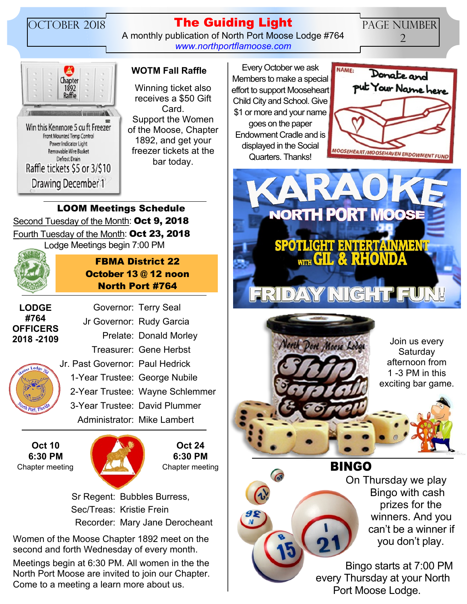# OCTOBER 2018 **The Guiding Light**

A monthly publication of North Port Moose Lodge #764 *[www.northportflamoose.com](http://www.northportflamoose.com)*

PAGE NUMBER 2



Winning ticket also receives a \$50 Gift Card. Support the Women of the Moose, Chapter 1892, and get your freezer tickets at the bar today.

**WOTM Fall Raffle** Every October we ask Members to make a special effort to support Mooseheart Child City and School. Give \$1 or more and your name goes on the paper Endowment Cradle and is displayed in the Social Quarters. Thanks!



**NORTH PORT MOOSE SPOTLIGHT ENTERTAINMENT** FRIDAY NIGHT



Join us every **Saturday** afternoon from 1 -3 PM in this exciting bar game.

**BINGO**

On Thursday we play Bingo with cash prizes for the winners. And you can't be a winner if you don't play.

Bingo starts at 7:00 PM every Thursday at your North Port Moose Lodge.

## Second Tuesday of the Month: **Oct 9, 2018** Fourth Tuesday of the Month: **Oct 23, 2018** Lodge Meetings begin 7:00 PM **LOOM Meetings Schedule**



## **FBMA District 22 October 13 @ 12 noon North Port #764**

Governor: Terry Seal

**LODGE #764 OFFICERS 2018 -2109**



**Oct 10 6:30 PM**



**Oct 24 6:30 PM**

 Sr Regent: Bubbles Burress, Sec/Treas: Kristie Frein Recorder: Mary Jane Derocheant

Women of the Moose Chapter 1892 meet on the second and forth Wednesday of every month.

Meetings begin at 6:30 PM. All women in the the North Port Moose are invited to join our Chapter. Come to a meeting a learn more about us.